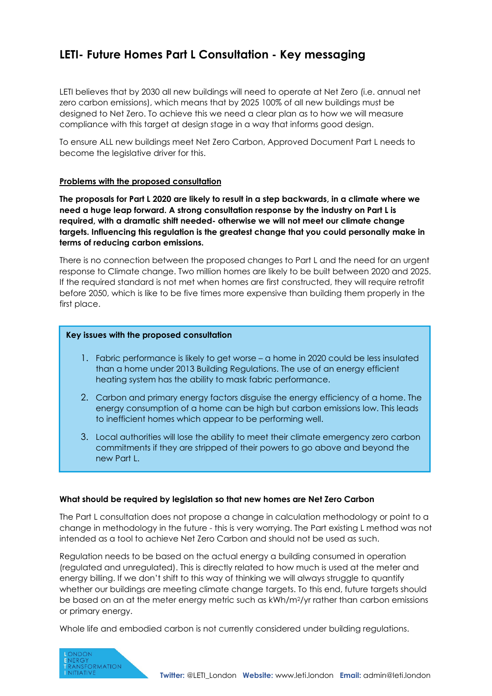# **LETI- Future Homes Part L Consultation - Key messaging**

LETI believes that by 2030 all new buildings will need to operate at Net Zero (i.e. annual net zero carbon emissions), which means that by 2025 100% of all new buildings must be designed to Net Zero. To achieve this we need a clear plan as to how we will measure compliance with this target at design stage in a way that informs good design.

To ensure ALL new buildings meet Net Zero Carbon, Approved Document Part L needs to become the legislative driver for this.

## **Problems with the proposed consultation**

**The proposals for Part L 2020 are likely to result in a step backwards, in a climate where we need a huge leap forward. A strong consultation response by the industry on Part L is required, with a dramatic shift needed- otherwise we will not meet our climate change targets. Influencing this regulation is the greatest change that you could personally make in terms of reducing carbon emissions.** 

There is no connection between the proposed changes to Part L and the need for an urgent response to Climate change. Two million homes are likely to be built between 2020 and 2025. If the required standard is not met when homes are first constructed, they will require retrofit before 2050, which is like to be five times more expensive than building them properly in the first place.

#### **Key issues with the proposed consultation**

- 1. Fabric performance is likely to get worse a home in 2020 could be less insulated than a home under 2013 Building Regulations. The use of an energy efficient heating system has the ability to mask fabric performance.
- 2. Carbon and primary energy factors disguise the energy efficiency of a home. The energy consumption of a home can be high but carbon emissions low. This leads to inefficient homes which appear to be performing well.
- 3. Local authorities will lose the ability to meet their climate emergency zero carbon commitments if they are stripped of their powers to go above and beyond the new Part L.

#### **What should be required by legislation so that new homes are Net Zero Carbon**

The Part L consultation does not propose a change in calculation methodology or point to a change in methodology in the future - this is very worrying. The Part existing L method was not intended as a tool to achieve Net Zero Carbon and should not be used as such.

Regulation needs to be based on the actual energy a building consumed in operation (regulated and unregulated). This is directly related to how much is used at the meter and energy billing. If we don't shift to this way of thinking we will always struggle to quantify whether our buildings are meeting climate change targets. To this end, future targets should be based on an at the meter energy metric such as kWh/m<sup>2</sup>/yr rather than carbon emissions or primary energy.

Whole life and embodied carbon is not currently considered under building regulations.